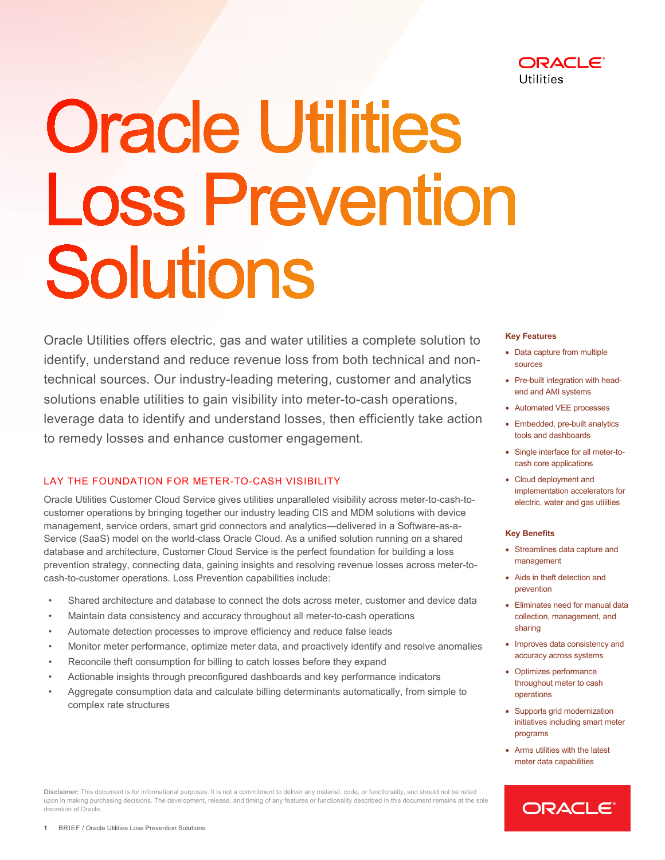

# **Oracle Utilities Loss Prevention** Solutions

 Oracle Utilities offers electric, gas and water utilities a complete solution to identify, understand and reduce revenue loss from both technical and nontechnical sources. Our industry-leading metering, customer and analytics solutions enable utilities to gain visibility into meter-to-cash operations, leverage data to identify and understand losses, then efficiently take action to remedy losses and enhance customer engagement.

## LAY THE FOUNDATION FOR METER-TO-CASH VISIBILITY

 prevention strategy, connecting data, gaining insights and resolving revenue losses across meter-to-Oracle Utilities Customer Cloud Service gives utilities unparalleled visibility across meter-to-cash-tocustomer operations by bringing together our industry leading CIS and MDM solutions with device management, service orders, smart grid connectors and analytics—delivered in a Software-as-a-Service (SaaS) model on the world-class Oracle Cloud. As a unified solution running on a shared database and architecture, Customer Cloud Service is the perfect foundation for building a loss cash-to-customer operations. Loss Prevention capabilities include:

- Shared architecture and database to connect the dots across meter, customer and device data
- Maintain data consistency and accuracy throughout all meter-to-cash operations
- Automate detection processes to improve efficiency and reduce false leads
- Monitor meter performance, optimize meter data, and proactively identify and resolve anomalies
- Reconcile theft consumption for billing to catch losses before they expand
- Actionable insights through preconfigured dashboards and key performance indicators
- Aggregate consumption data and calculate billing determinants automatically, from simple to complex rate structures

**Disclaimer:** This document is for informational purposes. It is not a commitment to deliver any material, code, or functionality, and should not be relied

upon in making purchasing decisions. The development, release, and timing of any features or functionality described in this document remains at the sole

#### **Key Features**

- Data capture from multiple sources
- Pre-built integration with headend and AMI systems
- Automated VEE processes
- Embedded, pre-built analytics tools and dashboards
- Single interface for all meter-tocash core applications
- Cloud deployment and implementation accelerators for electric, water and gas utilities

#### **Key Benefits**

- Streamlines data capture and management
- Aids in theft detection and prevention
- • Eliminates need for manual data collection, management, and sharing
- Improves data consistency and accuracy across systems
- Optimizes performance throughout meter to cash operations
- Supports grid modernization initiatives including smart meter programs
- meter data capabilities • Arms utilities with the latest



discretion of Oracle.